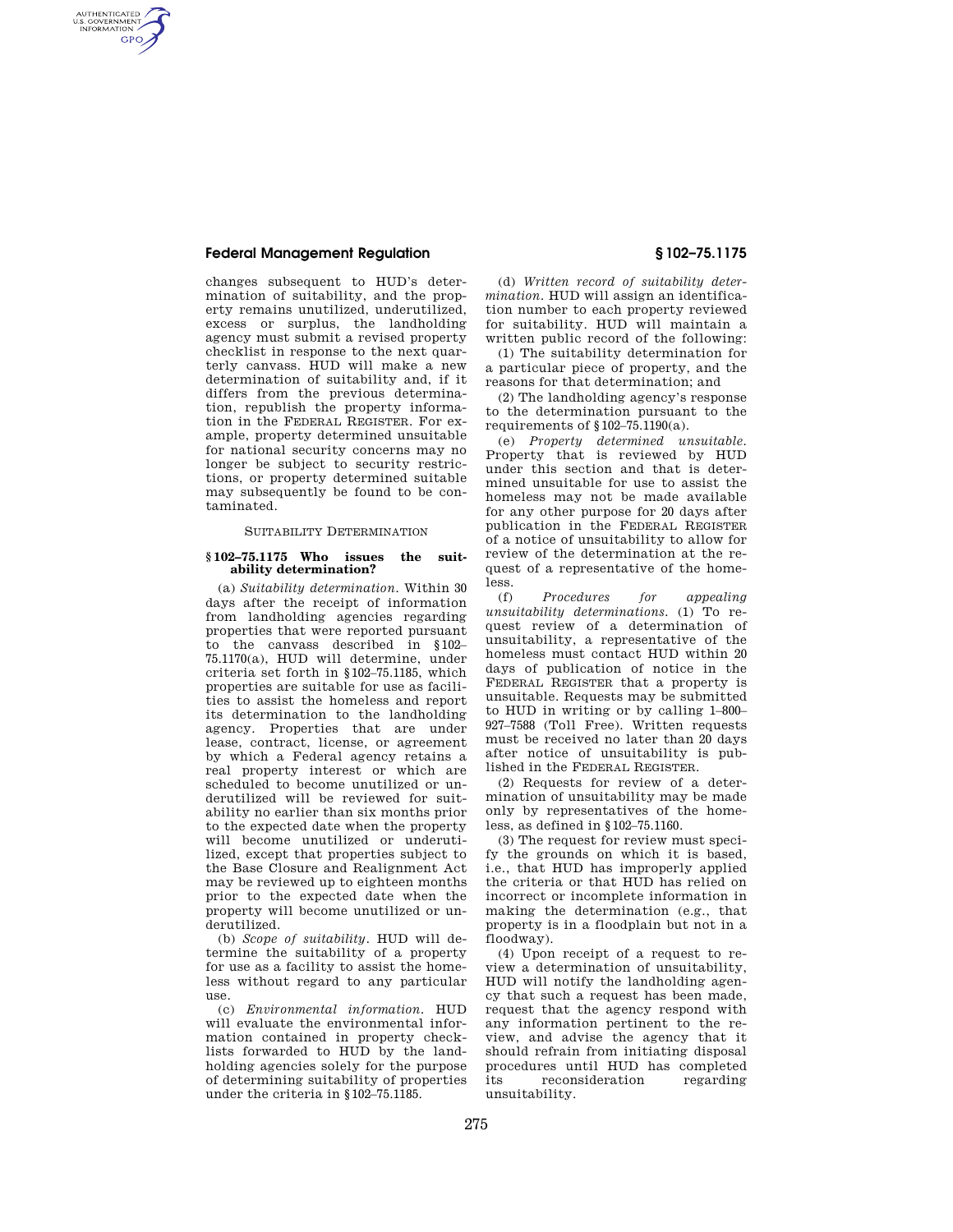# **Federal Management Regulation § 102–75.1175**

AUTHENTICATED<br>U.S. GOVERNMENT<br>INFORMATION **GPO** 

> changes subsequent to HUD's determination of suitability, and the property remains unutilized, underutilized, excess or surplus, the landholding agency must submit a revised property checklist in response to the next quarterly canvass. HUD will make a new determination of suitability and, if it differs from the previous determination, republish the property information in the FEDERAL REGISTER. For example, property determined unsuitable for national security concerns may no longer be subject to security restrictions, or property determined suitable may subsequently be found to be contaminated.

## SUITABILITY DETERMINATION

### **§ 102–75.1175 Who issues the suitability determination?**

(a) *Suitability determination.* Within 30 days after the receipt of information from landholding agencies regarding properties that were reported pursuant to the canvass described in §102– 75.1170(a), HUD will determine, under criteria set forth in §102–75.1185, which properties are suitable for use as facilities to assist the homeless and report its determination to the landholding agency. Properties that are under lease, contract, license, or agreement by which a Federal agency retains a real property interest or which are scheduled to become unutilized or underutilized will be reviewed for suitability no earlier than six months prior to the expected date when the property will become unutilized or underutilized, except that properties subject to the Base Closure and Realignment Act may be reviewed up to eighteen months prior to the expected date when the property will become unutilized or underutilized.

(b) *Scope of suitability.* HUD will determine the suitability of a property for use as a facility to assist the homeless without regard to any particular use.

(c) *Environmental information.* HUD will evaluate the environmental information contained in property checklists forwarded to HUD by the landholding agencies solely for the purpose of determining suitability of properties under the criteria in §102–75.1185.

(d) *Written record of suitability determination.* HUD will assign an identification number to each property reviewed for suitability. HUD will maintain a written public record of the following:

(1) The suitability determination for a particular piece of property, and the reasons for that determination; and

(2) The landholding agency's response to the determination pursuant to the requirements of §102–75.1190(a).

(e) *Property determined unsuitable.*  Property that is reviewed by HUD under this section and that is determined unsuitable for use to assist the homeless may not be made available for any other purpose for 20 days after publication in the FEDERAL REGISTER of a notice of unsuitability to allow for review of the determination at the request of a representative of the homeless.

(f) *Procedures for appealing unsuitability determinations.* (1) To request review of a determination of unsuitability, a representative of the homeless must contact HUD within 20 days of publication of notice in the FEDERAL REGISTER that a property is unsuitable. Requests may be submitted to HUD in writing or by calling 1–800– 927–7588 (Toll Free). Written requests must be received no later than 20 days after notice of unsuitability is published in the FEDERAL REGISTER.

(2) Requests for review of a determination of unsuitability may be made only by representatives of the homeless, as defined in §102–75.1160.

(3) The request for review must specify the grounds on which it is based, i.e., that HUD has improperly applied the criteria or that HUD has relied on incorrect or incomplete information in making the determination (e.g., that property is in a floodplain but not in a floodway).

(4) Upon receipt of a request to review a determination of unsuitability, HUD will notify the landholding agency that such a request has been made, request that the agency respond with any information pertinent to the review, and advise the agency that it should refrain from initiating disposal procedures until HUD has completed its reconsideration regarding unsuitability.